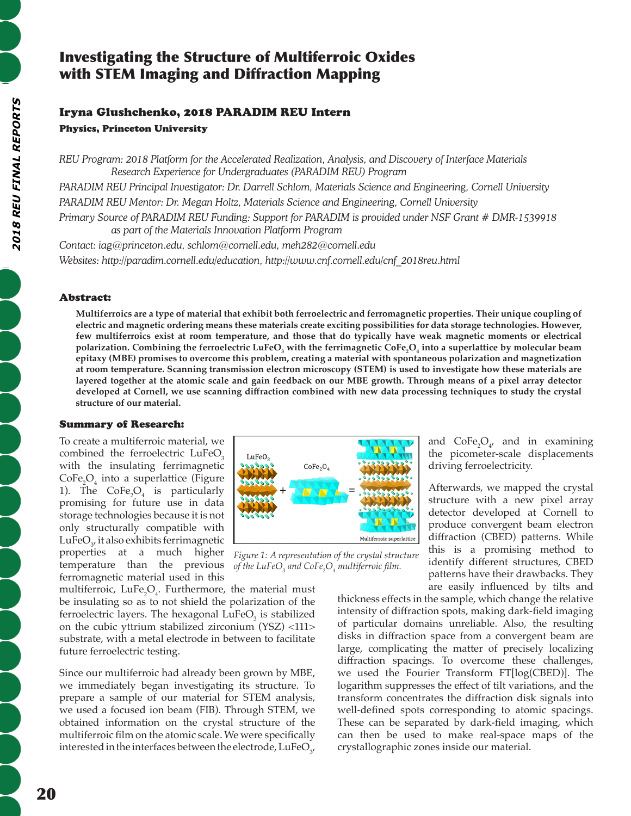## Investigating the Structure of Multiferroic Oxides with STEM Imaging and Diffraction Mapping

# Iryna Glushchenko, 2018 PARADIM REU Intern

## Physics, Princeton University

*REU Program: 2018 Platform for the Accelerated Realization, Analysis, and Discovery of Interface Materials Research Experience for Undergraduates (PARADIM REU) Program*

*PARADIM REU Principal Investigator: Dr. Darrell Schlom, Materials Science and Engineering, Cornell University PARADIM REU Mentor: Dr. Megan Holtz, Materials Science and Engineering, Cornell University* 

*Primary Source of PARADIM REU Funding: Support for PARADIM is provided under NSF Grant # DMR-1539918 as part of the Materials Innovation Platform Program*

*Contact: iag@princeton.edu, schlom@cornell.edu, meh282@cornell.edu Websites: http://paradim.cornell.edu/education, http://www.cnf.cornell.edu/cnf\_2018reu.html*

## Abstract:

**Multiferroics are a type of material that exhibit both ferroelectric and ferromagnetic properties. Their unique coupling of electric and magnetic ordering means these materials create exciting possibilities for data storage technologies. However, few multiferroics exist at room temperature, and those that do typically have weak magnetic moments or electrical polarization. Combining the ferroelectric LuFeO<sup>3</sup> with the ferrimagnetic CoFe<sup>2</sup> O4 into a superlattice by molecular beam epitaxy (MBE) promises to overcome this problem, creating a material with spontaneous polarization and magnetization at room temperature. Scanning transmission electron microscopy (STEM) is used to investigate how these materials are layered together at the atomic scale and gain feedback on our MBE growth. Through means of a pixel array detector developed at Cornell, we use scanning diffraction combined with new data processing techniques to study the crystal structure of our material.** 

## Summary of Research:

To create a multiferroic material, we combined the ferroelectric LuFeO<sub>2</sub> with the insulating ferrimagnetic  $CoFe<sub>2</sub>O<sub>4</sub>$  into a superlattice (Figure 1). The  $\text{CoFe}_2\text{O}_4$  is particularly promising for future use in data storage technologies because it is not only structurally compatible with LuFe $O_{\gamma}$ , it also exhibits ferrimagnetic properties at a much higher temperature than the previous ferromagnetic material used in this



*Figure 1: A representation of the crystal structure of the LuFeO3 and CoFe2 O4 multiferroic film.* 

multiferroic,  $LuFe<sub>2</sub>O<sub>4</sub>$ . Furthermore, the material must be insulating so as to not shield the polarization of the ferroelectric layers. The hexagonal  $LuFeO<sub>3</sub>$  is stabilized on the cubic yttrium stabilized zirconium (YSZ) <111> substrate, with a metal electrode in between to facilitate future ferroelectric testing.

Since our multiferroic had already been grown by MBE, we immediately began investigating its structure. To prepare a sample of our material for STEM analysis, we used a focused ion beam (FIB). Through STEM, we obtained information on the crystal structure of the multiferroic film on the atomic scale. We were specifically interested in the interfaces between the electrode,  $\mathrm{LuFeO}_{\mathrm{3'}}$  and  $\text{CoFe}_2\text{O}_4$ , and in examining the picometer-scale displacements driving ferroelectricity.

Afterwards, we mapped the crystal structure with a new pixel array detector developed at Cornell to produce convergent beam electron diffraction (CBED) patterns. While this is a promising method to identify different structures, CBED patterns have their drawbacks. They are easily influenced by tilts and

thickness effects in the sample, which change the relative intensity of diffraction spots, making dark-field imaging of particular domains unreliable. Also, the resulting disks in diffraction space from a convergent beam are large, complicating the matter of precisely localizing diffraction spacings. To overcome these challenges, we used the Fourier Transform FT[log(CBED)]. The logarithm suppresses the effect of tilt variations, and the transform concentrates the diffraction disk signals into well-defined spots corresponding to atomic spacings. These can be separated by dark-field imaging, which can then be used to make real-space maps of the crystallographic zones inside our material.